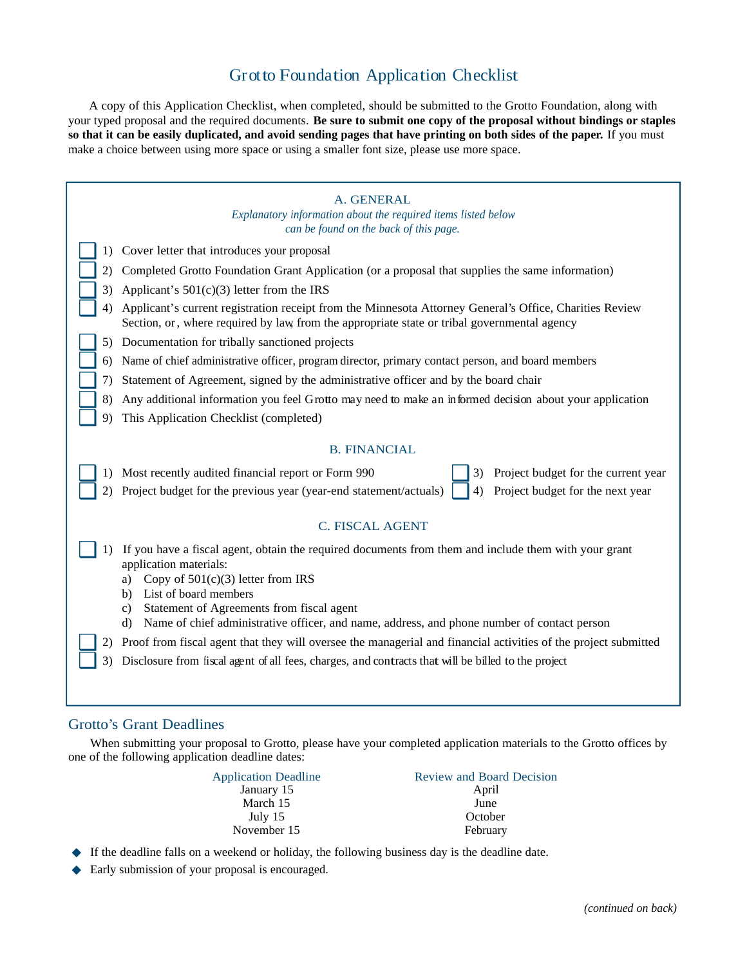# Grotto Foundation Application Checklist

A copy of this Application Checklist, when completed, should be submitted to the Grotto Foundation, along with your typed proposal and the required documents. **Be sure to submit one copy of the proposal without bindings or staples so that it can be easily duplicated, and avoid sending pages that have printing on both sides of the paper.** If you must make a choice between using more space or using a smaller font size, please use more space.

| A. GENERAL<br>Explanatory information about the required items listed below<br>can be found on the back of this page.                                                                                        |  |  |
|--------------------------------------------------------------------------------------------------------------------------------------------------------------------------------------------------------------|--|--|
| Cover letter that introduces your proposal<br>1)                                                                                                                                                             |  |  |
| Completed Grotto Foundation Grant Application (or a proposal that supplies the same information)<br>2)                                                                                                       |  |  |
| Applicant's $501(c)(3)$ letter from the IRS<br>3)                                                                                                                                                            |  |  |
| Applicant's current registration receipt from the Minnesota Attorney General's Office, Charities Review<br>4)<br>Section, or, where required by law from the appropriate state or tribal governmental agency |  |  |
| Documentation for tribally sanctioned projects<br>5)                                                                                                                                                         |  |  |
| Name of chief administrative officer, program director, primary contact person, and board members<br>6)                                                                                                      |  |  |
| Statement of Agreement, signed by the administrative officer and by the board chair<br>7).                                                                                                                   |  |  |
| 8)<br>Any additional information you feel Grotto may need to make an informed decision about your application                                                                                                |  |  |
| This Application Checklist (completed)<br>9)                                                                                                                                                                 |  |  |
|                                                                                                                                                                                                              |  |  |
| <b>B. FINANCIAL</b>                                                                                                                                                                                          |  |  |
| Most recently audited financial report or Form 990<br>Project budget for the current year<br>1)<br>3)                                                                                                        |  |  |
| Project budget for the previous year (year-end statement/actuals)<br>Project budget for the next year<br>2)                                                                                                  |  |  |
|                                                                                                                                                                                                              |  |  |
| <b>C. FISCAL AGENT</b>                                                                                                                                                                                       |  |  |
| If you have a fiscal agent, obtain the required documents from them and include them with your grant<br>application materials:                                                                               |  |  |
| Copy of $501(c)(3)$ letter from IRS<br>a)                                                                                                                                                                    |  |  |
| List of board members<br>b)<br>Statement of Agreements from fiscal agent<br>c)                                                                                                                               |  |  |
| d) Name of chief administrative officer, and name, address, and phone number of contact person                                                                                                               |  |  |
| Proof from fiscal agent that they will oversee the managerial and financial activities of the project submitted<br>2)                                                                                        |  |  |
| Disclosure from fiscal agent of all fees, charges, and contracts that will be billed to the project<br>3)                                                                                                    |  |  |
|                                                                                                                                                                                                              |  |  |
|                                                                                                                                                                                                              |  |  |

#### Grotto's Grant Deadlines

When submitting your proposal to Grotto, please have your completed application materials to the Grotto offices by one of the following application deadline dates:

| <b>Application Deadline</b> | <b>Review and Board Decision</b> |
|-----------------------------|----------------------------------|
| January 15                  | April                            |
| March 15                    | June                             |
| July $15$                   | October                          |
| November 15                 | February                         |

- ◆ If the deadline falls on a weekend or holiday, the following business day is the deadline date.
- ◆ Early submission of your proposal is encouraged.